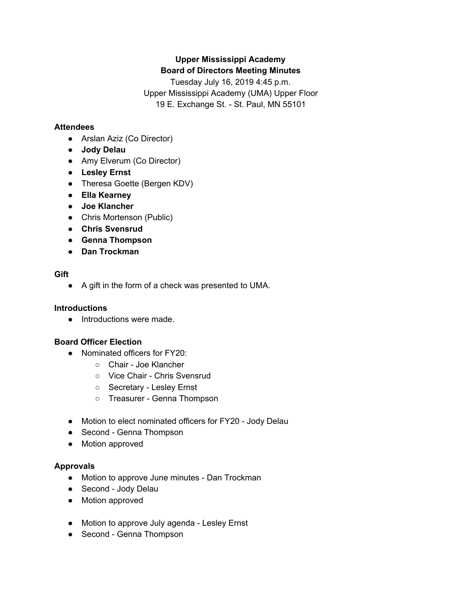# **Upper Mississippi Academy Board of Directors Meeting Minutes**

Tuesday July 16, 2019 4:45 p.m. Upper Mississippi Academy (UMA) Upper Floor 19 E. Exchange St. - St. Paul, MN 55101

# **Attendees**

- Arslan Aziz (Co Director)
- **● Jody Delau**
- Amy Elverum (Co Director)
- **● Lesley Ernst**
- Theresa Goette (Bergen KDV)
- **● Ella Kearney**
- **● Joe Klancher**
- Chris Mortenson (Public)
- **● Chris Svensrud**
- **● Genna Thompson**
- **● Dan Trockman**

## **Gift**

**●** A gift in the form of a check was presented to UMA.

# **Introductions**

• Introductions were made.

# **Board Officer Election**

- Nominated officers for FY20:
	- Chair Joe Klancher
	- Vice Chair Chris Svensrud
	- Secretary Lesley Ernst
	- Treasurer Genna Thompson
- Motion to elect nominated officers for FY20 Jody Delau
- Second Genna Thompson
- Motion approved

# **Approvals**

- Motion to approve June minutes Dan Trockman
- Second Jody Delau
- Motion approved
- Motion to approve July agenda Lesley Ernst
- Second Genna Thompson